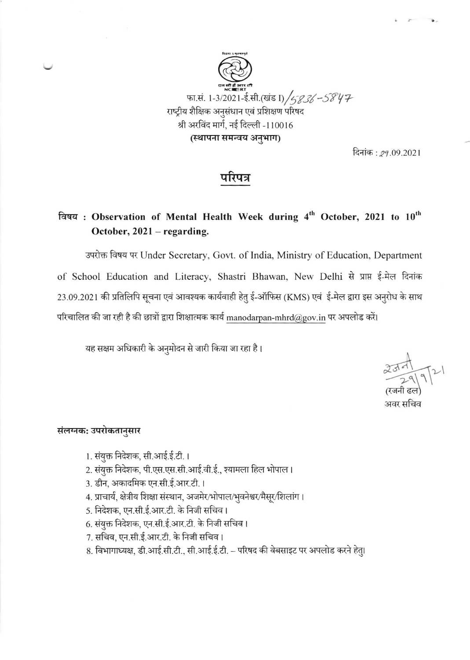

दिनांक : *29*.09.2021

## गरपत्र

## विषय: Observation of Mental Health Week during 4th October, 2021 to 10th October,  $2021 -$  regarding.

उपरोक्त विषय पर Under Secretary, Govt. of India, Ministry of Education, Department of School Education and Literacy, Shastri Bhawan, New Delhi से प्राप्त ई-मेल दिनांक 23.09.2021 की प्रतिलिपि सूचना एवं आवश्यक कार्यवाही हेतु ई-ऑफिस (KMS) एवं ई-मेल द्वारा इस अनुरोध के साथ परिचालित की जा रही है की छात्रों द्वारा शिक्षात्मक कार्य manodarpan-mhrd@gov.in पर अपलोड करें।

यह सक्षम अधिकारी के अनुमोदन से जारी किया जा रहा है।

रजना ढल

अवर सचिव

### संलग्नक: उपरोकतानुसार

- 1. संयुक्त निदेशक, सी.आई.ई.टी. ।
- 2. संयुक्त निदेशक, पी.एस.एस.सी.आई.वी.ई., श्यामला हिल भोपाल।
- 3. डीन, अकादमिक एन.सी.ई.आर.टी.।
- 4. प्राचार्य, क्षेत्रीय शिक्षा संस्थान, अजमेर/भोपाल/भुवनेश्वर/मैसूर/शिलांग।
- 5. निदेशक, एन.सी.ई.आर.टी. के निजी सचिव।
- 6. संयुक्त निदेशक, एन.सी.ई.आर.टी. के निजी सचिव।
- 7. सचिव, एन.सी.ई.आर.टी. के निजी सचिव।
- 8. विभागाध्यक्ष, डी.आई.सी.टी., सी.आई.ई.टी. परिषद की वेबसाइट पर अपलोड करने हेतु।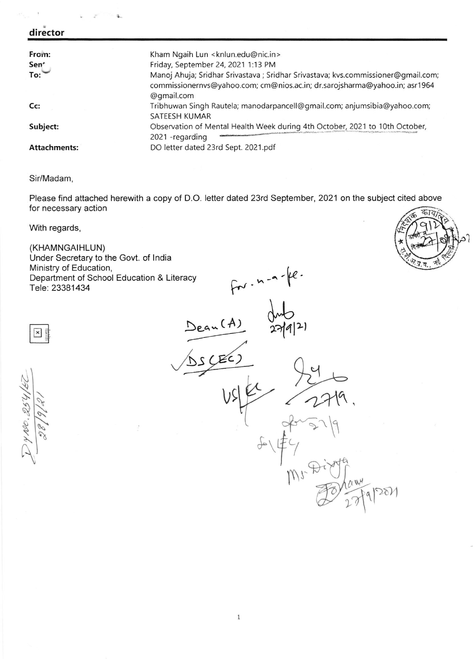#### director

| From:<br>Sen<br>To: | Kham Ngaih Lun <knlun.edu@nic.in><br/>Friday, September 24, 2021 1:13 PM<br/>Manoj Ahuja; Sridhar Srivastava; Sridhar Srivastava; kvs.commissioner@gmail.com;<br/>commissionernvs@yahoo.com; cm@nios.ac.in; dr.sarojsharma@yahoo.in; asr1964<br/>@gmail.com</knlun.edu@nic.in> |
|---------------------|--------------------------------------------------------------------------------------------------------------------------------------------------------------------------------------------------------------------------------------------------------------------------------|
| Cc                  | Tribhuwan Singh Rautela; manodarpancell@gmail.com; anjumsibia@yahoo.com;<br>SATEESH KUMAR                                                                                                                                                                                      |
| Subject:            | Observation of Mental Health Week during 4th October, 2021 to 10th October,<br>2021 - regarding                                                                                                                                                                                |
| Attachments:        | DO letter dated 23rd Sept. 2021.pdf                                                                                                                                                                                                                                            |

#### Sir/Madam,

Please find attached herewith a copy of D.O. letter dated 23rd September, 2021 on the subject cited above for necessary action

With regards,

ss \

**x** 

NI

1 h.s

 $\mathscr{A}$ 

 $.$  $\tilde{\mathcal{E}}$ 

\

(KHAMNGAIHLUN) Under Secretary to the Govt. of lndia Ministry of Education, Department of School Education & Literacy Tele: 23381434

 $Dean(A)$  $f^{m-n-k}$ -s  $(EC)$  $27|4|2|$  $379$  $\frac{d}{dt}$  $\alpha w$  $271 - 27$  $vs|p'$ t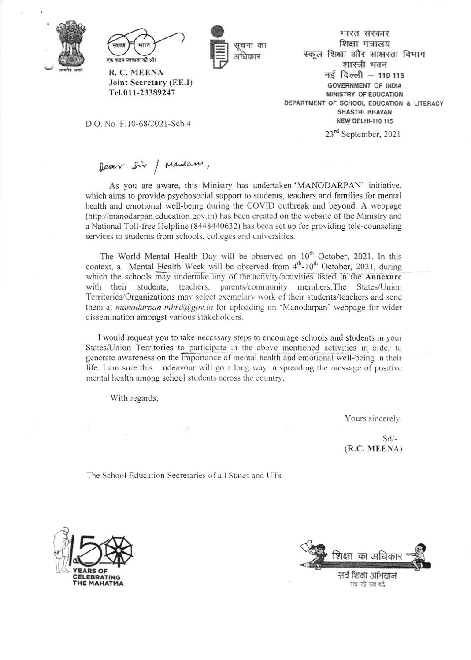



R. C. MEENA Joint Secretary (EE.I) Tel.011-23389247

D.O. No. F.10-68/2021-Sch.4

प्तचना का अधिकार

भारत सरकार शिक्षा मंत्रालय स्कल शिक्षा और साक्षरता विभाग शास्त्री मवन नई दिल्ली - 110 115 **GOVERNMENT OF INDIA** MINISTRY OF EDUCATION DEPARTMENT OF SCHOOL EDUCATION & LITERACY SHASTRI BHAVAN **NEW DELHI-110 115** 

23rd September, 2021

# Dear sir / Madam,

As you are aware, this Ministry has undertaken 'MANODARPAN' initiative, which aims to provide psychosocial support to students, teachers and families for mental health and emotional well-being during the COVID outbreak and beyond. A webpage (http://manodarpan.education.gov.in) has been created on the website of the Ministry and a National Toll-free Helpline (8448440632) has been set up for providing tele-counseling services to students from schools, colleges and universities.

The World Mental Health Day will be observed on 10<sup>th</sup> October, 2021. In this context, a Mental Health Week will be observed from 4th-10<sup>th</sup> October, 2021, during which the schools may undertake any of the activity/activities listed in the Annexure with their students, teachers, parents/community members. The States/Union Territories/Organizations may select exemplary work of their students/teachers and send them at *manodarpan-mhrd@gov.in* for uploading on 'Manodarpan' webpage for wider dissemination amongst various stakeholders.

I would request you to take necessary steps to encourage schools and students in your States/Union Territories to participate in the above mentioned activities in order to generate awareness on the importance of mental health and emotional well-being in their life. I am sure this ndeavour will go a long way in spreading the message of positive mental health among school students across the country.

With regards,

Yours sincerely,

 $Sd$ (R.C. MEENA)

The School Education Secretaries of all States and UTs.